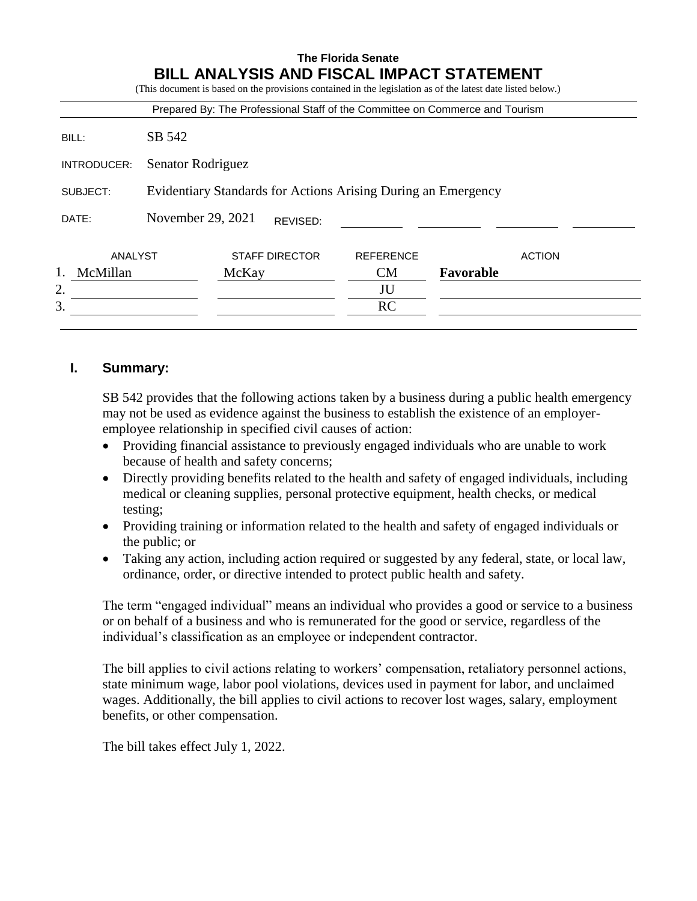|                |                                                               |       |                       | Prepared By: The Professional Staff of the Committee on Commerce and Tourism |           |               |
|----------------|---------------------------------------------------------------|-------|-----------------------|------------------------------------------------------------------------------|-----------|---------------|
| BILL:          | SB 542                                                        |       |                       |                                                                              |           |               |
| INTRODUCER:    | Senator Rodriguez                                             |       |                       |                                                                              |           |               |
| SUBJECT:       | Evidentiary Standards for Actions Arising During an Emergency |       |                       |                                                                              |           |               |
| DATE:          | November 29, 2021                                             |       | REVISED:              |                                                                              |           |               |
| ANALYST        |                                                               |       | <b>STAFF DIRECTOR</b> | <b>REFERENCE</b>                                                             |           | <b>ACTION</b> |
| McMillan<br>1. |                                                               | McKay |                       | <b>CM</b>                                                                    | Favorable |               |
| 2.             |                                                               |       |                       | JU                                                                           |           |               |
| 3.             |                                                               |       |                       | <b>RC</b>                                                                    |           |               |

# **I. Summary:**

SB 542 provides that the following actions taken by a business during a public health emergency may not be used as evidence against the business to establish the existence of an employeremployee relationship in specified civil causes of action:

- Providing financial assistance to previously engaged individuals who are unable to work because of health and safety concerns;
- Directly providing benefits related to the health and safety of engaged individuals, including medical or cleaning supplies, personal protective equipment, health checks, or medical testing;
- Providing training or information related to the health and safety of engaged individuals or the public; or
- Taking any action, including action required or suggested by any federal, state, or local law, ordinance, order, or directive intended to protect public health and safety.

The term "engaged individual" means an individual who provides a good or service to a business or on behalf of a business and who is remunerated for the good or service, regardless of the individual's classification as an employee or independent contractor.

The bill applies to civil actions relating to workers' compensation, retaliatory personnel actions, state minimum wage, labor pool violations, devices used in payment for labor, and unclaimed wages. Additionally, the bill applies to civil actions to recover lost wages, salary, employment benefits, or other compensation.

The bill takes effect July 1, 2022.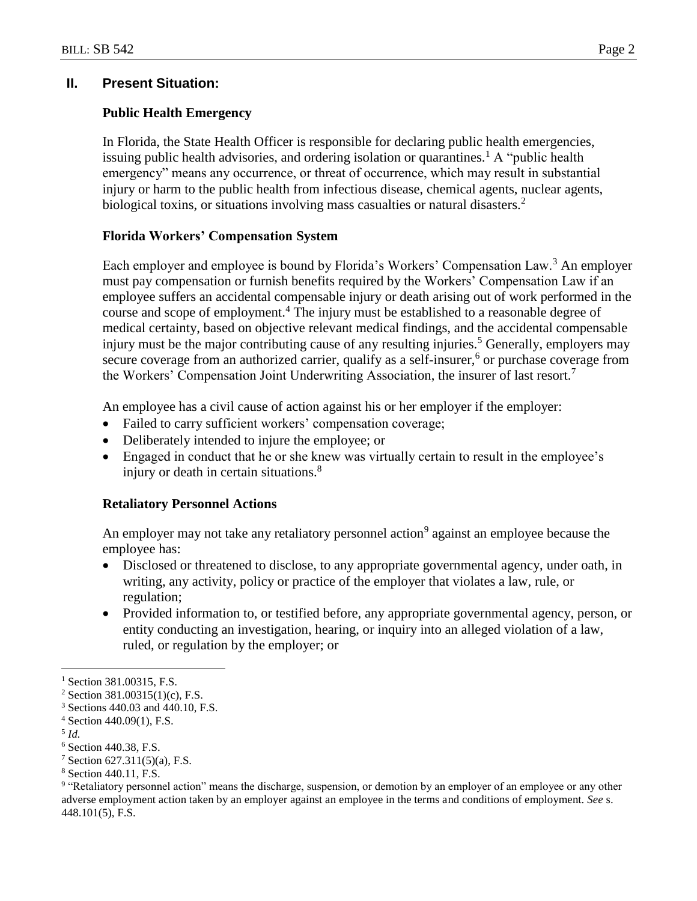### **II. Present Situation:**

### **Public Health Emergency**

In Florida, the State Health Officer is responsible for declaring public health emergencies, issuing public health advisories, and ordering isolation or quarantines.<sup>1</sup> A "public health emergency" means any occurrence, or threat of occurrence, which may result in substantial injury or harm to the public health from infectious disease, chemical agents, nuclear agents, biological toxins, or situations involving mass casualties or natural disasters.<sup>2</sup>

### **Florida Workers' Compensation System**

Each employer and employee is bound by Florida's Workers' Compensation Law.<sup>3</sup> An employer must pay compensation or furnish benefits required by the Workers' Compensation Law if an employee suffers an accidental compensable injury or death arising out of work performed in the course and scope of employment.<sup>4</sup> The injury must be established to a reasonable degree of medical certainty, based on objective relevant medical findings, and the accidental compensable injury must be the major contributing cause of any resulting injuries.<sup>5</sup> Generally, employers may secure coverage from an authorized carrier, qualify as a self-insurer,<sup>6</sup> or purchase coverage from the Workers' Compensation Joint Underwriting Association, the insurer of last resort.<sup>7</sup>

An employee has a civil cause of action against his or her employer if the employer:

- Failed to carry sufficient workers' compensation coverage;
- Deliberately intended to injure the employee; or
- Engaged in conduct that he or she knew was virtually certain to result in the employee's injury or death in certain situations.<sup>8</sup>

### **Retaliatory Personnel Actions**

An employer may not take any retaliatory personnel action<sup>9</sup> against an employee because the employee has:

- Disclosed or threatened to disclose, to any appropriate governmental agency, under oath, in writing, any activity, policy or practice of the employer that violates a law, rule, or regulation;
- Provided information to, or testified before, any appropriate governmental agency, person, or entity conducting an investigation, hearing, or inquiry into an alleged violation of a law, ruled, or regulation by the employer; or

 $\overline{a}$ 

<sup>&</sup>lt;sup>1</sup> Section 381.00315, F.S.

<sup>2</sup> Section 381.00315(1)(c), F.S.

<sup>3</sup> Sections 440.03 and 440.10, F.S.

 $4$  Section 440.09(1), F.S.

<sup>5</sup> *Id.*

<sup>6</sup> Section 440.38, F.S.

 $7$  Section 627.311(5)(a), F.S.

<sup>8</sup> Section 440.11, F.S.

<sup>&</sup>lt;sup>9</sup> "Retaliatory personnel action" means the discharge, suspension, or demotion by an employer of an employee or any other adverse employment action taken by an employer against an employee in the terms and conditions of employment. *See* s. 448.101(5), F.S.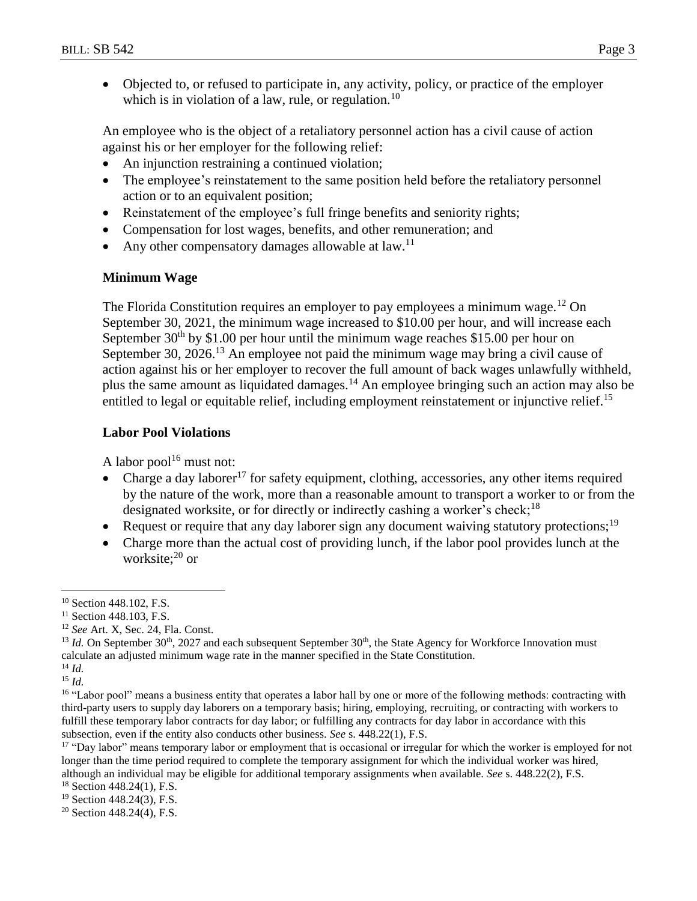Objected to, or refused to participate in, any activity, policy, or practice of the employer which is in violation of a law, rule, or regulation.<sup>10</sup>

An employee who is the object of a retaliatory personnel action has a civil cause of action against his or her employer for the following relief:

- An injunction restraining a continued violation;
- The employee's reinstatement to the same position held before the retaliatory personnel action or to an equivalent position;
- Reinstatement of the employee's full fringe benefits and seniority rights;
- Compensation for lost wages, benefits, and other remuneration; and
- Any other compensatory damages allowable at law.<sup>11</sup>

#### **Minimum Wage**

The Florida Constitution requires an employer to pay employees a minimum wage.<sup>12</sup> On September 30, 2021, the minimum wage increased to \$10.00 per hour, and will increase each September  $30<sup>th</sup>$  by \$1.00 per hour until the minimum wage reaches \$15.00 per hour on September 30, 2026.<sup>13</sup> An employee not paid the minimum wage may bring a civil cause of action against his or her employer to recover the full amount of back wages unlawfully withheld, plus the same amount as liquidated damages.<sup>14</sup> An employee bringing such an action may also be entitled to legal or equitable relief, including employment reinstatement or injunctive relief.<sup>15</sup>

### **Labor Pool Violations**

A labor pool $16$  must not:

- Charge a day laborer<sup>17</sup> for safety equipment, clothing, accessories, any other items required by the nature of the work, more than a reasonable amount to transport a worker to or from the designated worksite, or for directly or indirectly cashing a worker's check;<sup>18</sup>
- Request or require that any day laborer sign any document waiving statutory protections;  $19$
- Charge more than the actual cost of providing lunch, if the labor pool provides lunch at the worksite;<sup>20</sup> or

 $\overline{a}$ 

<sup>15</sup> *Id.*

<sup>17</sup> "Day labor" means temporary labor or employment that is occasional or irregular for which the worker is employed for not longer than the time period required to complete the temporary assignment for which the individual worker was hired, although an individual may be eligible for additional temporary assignments when available. *See* s. 448.22(2), F.S.

<sup>&</sup>lt;sup>10</sup> Section 448.102, F.S.

<sup>&</sup>lt;sup>11</sup> Section 448.103, F.S.

<sup>12</sup> *See* Art. X, Sec. 24, Fla. Const.

<sup>&</sup>lt;sup>13</sup> *Id.* On September 30<sup>th</sup>, 2027 and each subsequent September  $30<sup>th</sup>$ , the State Agency for Workforce Innovation must calculate an adjusted minimum wage rate in the manner specified in the State Constitution.

<sup>14</sup> *Id.*

<sup>&</sup>lt;sup>16</sup> "Labor pool" means a business entity that operates a labor hall by one or more of the following methods: contracting with third-party users to supply day laborers on a temporary basis; hiring, employing, recruiting, or contracting with workers to fulfill these temporary labor contracts for day labor; or fulfilling any contracts for day labor in accordance with this subsection, even if the entity also conducts other business. *See* s. 448.22(1), F.S.

 $18$  Section 448.24(1), F.S.

<sup>19</sup> Section 448.24(3), F.S.

 $20$  Section 448.24(4), F.S.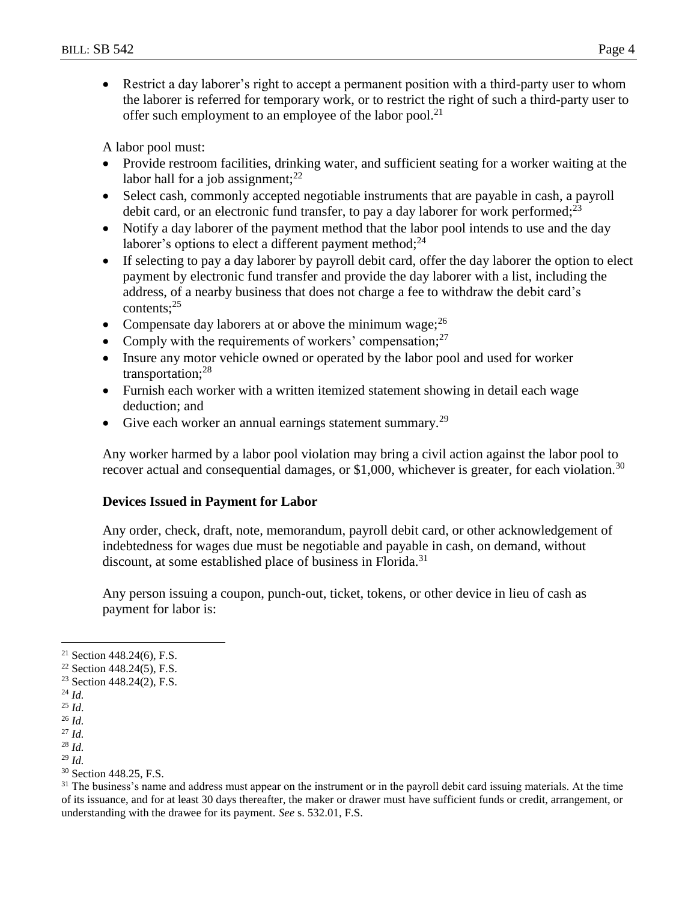Restrict a day laborer's right to accept a permanent position with a third-party user to whom the laborer is referred for temporary work, or to restrict the right of such a third-party user to offer such employment to an employee of the labor pool.<sup>21</sup>

A labor pool must:

- Provide restroom facilities, drinking water, and sufficient seating for a worker waiting at the labor hall for a job assignment;  $2^2$
- Select cash, commonly accepted negotiable instruments that are payable in cash, a payroll debit card, or an electronic fund transfer, to pay a day laborer for work performed; $^{23}$
- Notify a day laborer of the payment method that the labor pool intends to use and the day laborer's options to elect a different payment method; $^{24}$
- If selecting to pay a day laborer by payroll debit card, offer the day laborer the option to elect payment by electronic fund transfer and provide the day laborer with a list, including the address, of a nearby business that does not charge a fee to withdraw the debit card's contents;<sup>25</sup>
- Compensate day laborers at or above the minimum wage;  $^{26}$
- Comply with the requirements of workers' compensation; $27$
- Insure any motor vehicle owned or operated by the labor pool and used for worker transportation;<sup>28</sup>
- Furnish each worker with a written itemized statement showing in detail each wage deduction; and
- Give each worker an annual earnings statement summary.<sup>29</sup>

Any worker harmed by a labor pool violation may bring a civil action against the labor pool to recover actual and consequential damages, or \$1,000, whichever is greater, for each violation.<sup>30</sup>

# **Devices Issued in Payment for Labor**

Any order, check, draft, note, memorandum, payroll debit card, or other acknowledgement of indebtedness for wages due must be negotiable and payable in cash, on demand, without discount, at some established place of business in Florida.<sup>31</sup>

Any person issuing a coupon, punch-out, ticket, tokens, or other device in lieu of cash as payment for labor is:

 $\overline{a}$ 

<sup>&</sup>lt;sup>21</sup> Section 448.24(6), F.S.

 $22$  Section 448.24(5), F.S.

<sup>23</sup> Section 448.24(2), F.S.

<sup>24</sup> *Id.*

<sup>25</sup> *Id.* <sup>26</sup> *Id.*

<sup>27</sup> *Id.*

<sup>28</sup> *Id.*

<sup>29</sup> *Id.*

<sup>&</sup>lt;sup>30</sup> Section 448.25, F.S.

<sup>&</sup>lt;sup>31</sup> The business's name and address must appear on the instrument or in the payroll debit card issuing materials. At the time of its issuance, and for at least 30 days thereafter, the maker or drawer must have sufficient funds or credit, arrangement, or understanding with the drawee for its payment. *See* s. 532.01, F.S.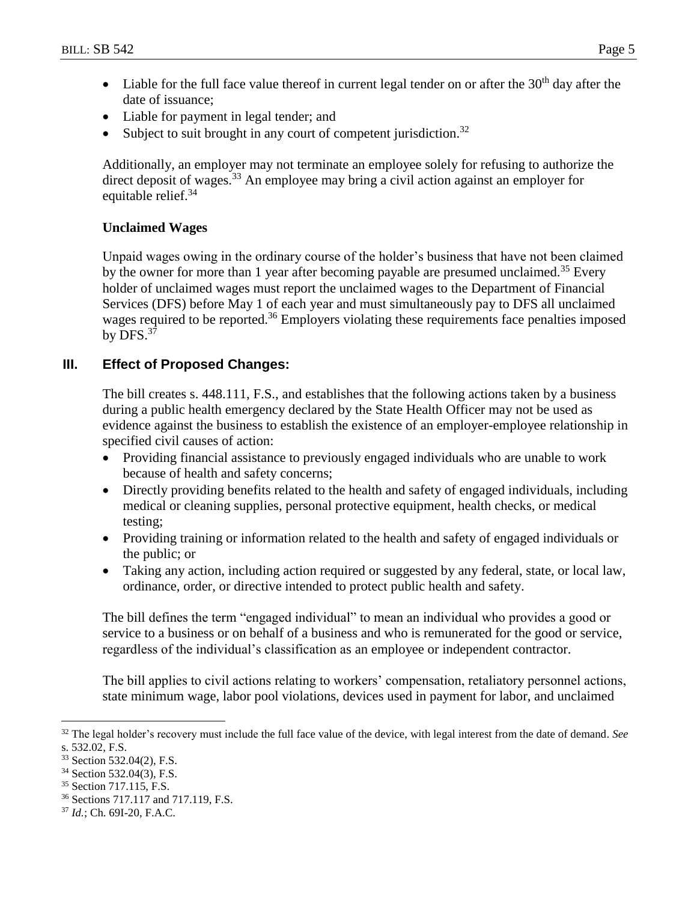- $\bullet$  Liable for the full face value thereof in current legal tender on or after the 30<sup>th</sup> day after the date of issuance;
- Liable for payment in legal tender; and
- Subject to suit brought in any court of competent jurisdiction.<sup>32</sup>

Additionally, an employer may not terminate an employee solely for refusing to authorize the direct deposit of wages.<sup>33</sup> An employee may bring a civil action against an employer for equitable relief.<sup>34</sup>

# **Unclaimed Wages**

Unpaid wages owing in the ordinary course of the holder's business that have not been claimed by the owner for more than 1 year after becoming payable are presumed unclaimed.<sup>35</sup> Every holder of unclaimed wages must report the unclaimed wages to the Department of Financial Services (DFS) before May 1 of each year and must simultaneously pay to DFS all unclaimed wages required to be reported.<sup>36</sup> Employers violating these requirements face penalties imposed by  $DFS.^{37}$ 

# **III. Effect of Proposed Changes:**

The bill creates s. 448.111, F.S., and establishes that the following actions taken by a business during a public health emergency declared by the State Health Officer may not be used as evidence against the business to establish the existence of an employer-employee relationship in specified civil causes of action:

- Providing financial assistance to previously engaged individuals who are unable to work because of health and safety concerns;
- Directly providing benefits related to the health and safety of engaged individuals, including medical or cleaning supplies, personal protective equipment, health checks, or medical testing;
- Providing training or information related to the health and safety of engaged individuals or the public; or
- Taking any action, including action required or suggested by any federal, state, or local law, ordinance, order, or directive intended to protect public health and safety.

The bill defines the term "engaged individual" to mean an individual who provides a good or service to a business or on behalf of a business and who is remunerated for the good or service, regardless of the individual's classification as an employee or independent contractor.

The bill applies to civil actions relating to workers' compensation, retaliatory personnel actions, state minimum wage, labor pool violations, devices used in payment for labor, and unclaimed

 $\overline{a}$ 

<sup>32</sup> The legal holder's recovery must include the full face value of the device, with legal interest from the date of demand. *See*  s. 532.02, F.S.

<sup>33</sup> Section 532.04(2), F.S.

<sup>34</sup> Section 532.04(3), F.S.

<sup>35</sup> Section 717.115, F.S.

<sup>36</sup> Sections 717.117 and 717.119, F.S.

<sup>37</sup> *Id.*; Ch. 69I-20, F.A.C.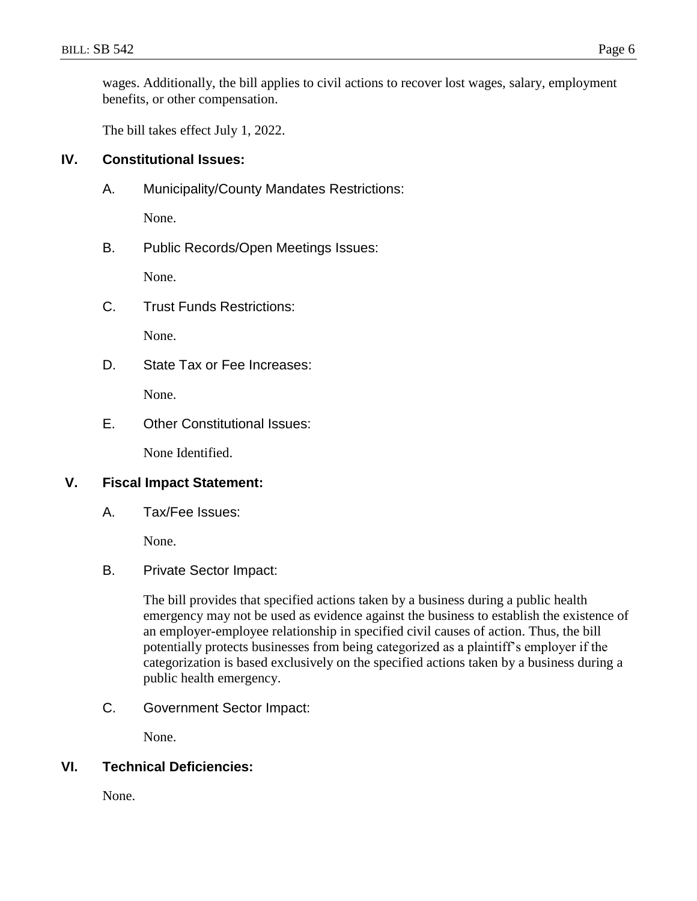wages. Additionally, the bill applies to civil actions to recover lost wages, salary, employment benefits, or other compensation.

The bill takes effect July 1, 2022.

### **IV. Constitutional Issues:**

A. Municipality/County Mandates Restrictions:

None.

B. Public Records/Open Meetings Issues:

None.

C. Trust Funds Restrictions:

None.

D. State Tax or Fee Increases:

None.

E. Other Constitutional Issues:

None Identified.

### **V. Fiscal Impact Statement:**

A. Tax/Fee Issues:

None.

### B. Private Sector Impact:

The bill provides that specified actions taken by a business during a public health emergency may not be used as evidence against the business to establish the existence of an employer-employee relationship in specified civil causes of action. Thus, the bill potentially protects businesses from being categorized as a plaintiff's employer if the categorization is based exclusively on the specified actions taken by a business during a public health emergency.

C. Government Sector Impact:

None.

# **VI. Technical Deficiencies:**

None.